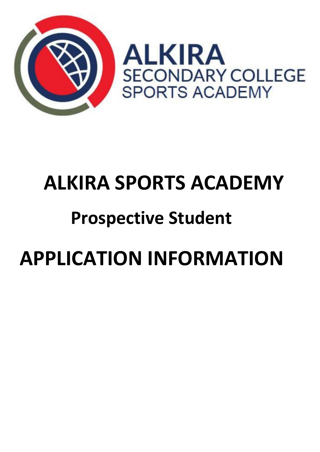

# **ALKIRA SPORTS ACADEMY**

## **Prospective Student**

# **APPLICATION INFORMATION**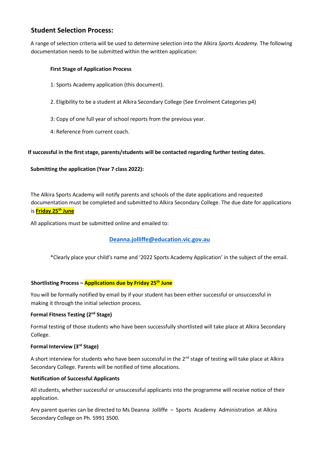#### **Student Selection Process:**

A range of selection criteria will be used to determine selection into the Alkira *Sports Academy.* The following documentation needs to be submitted within the written application:

#### **First Stage of Application Process**

- 1: Sports Academy application (this document).
- 2. Eligibility to be a student at Alkira Secondary College (See Enrolment Categories p4)
- 3: Copy of one full year of school reports from the previous year.
- 4: Reference from current coach.

#### **If successful in the first stage, parents/students will be contacted regarding further testing dates.**

#### **Submitting the application (Year 7 class 2022):**

The Alkira Sports Academy will notify parents and schools of the date applications and requested documentation must be completed and submitted to Alkira Secondary College. The due date for applications is **Friday 25th June**

All applications must be submitted online and emailed to:

#### **[Deanna.jolliffe@education.vic.gov.au](mailto:Deanna.jolliffe@education.vic.gov.au)**

\*Clearly place your child's name and '2022 Sports Academy Application' in the subject of the email.

#### **Shortlisting Process – Applications due by Friday 25th June**

You will be formally notified by email by if your student has been either successful or unsuccessful in making it through the initial selection process.

#### **Formal Fitness Testing (2nd Stage)**

Formal testing of those students who have been successfully shortlisted will take place at Alkira Secondary College.

#### **Formal Interview (3rd Stage)**

A short interview for students who have been successful in the  $2^{nd}$  stage of testing will take place at Alkira Secondary College. Parents will be notified of time allocations.

#### **Notification of Successful Applicants**

All students, whether successful or unsuccessful applicants into the programme will receive notice of their application.

Any parent queries can be directed to Ms Deanna Jolliffe – Sports Academy Administration at Alkira Secondary College on Ph. 5991 3500.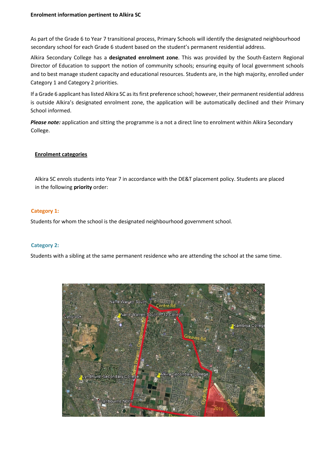#### **Enrolment information pertinent to Alkira SC**

As part of the Grade 6 to Year 7 transitional process, Primary Schools will identify the designated neighbourhood secondary school for each Grade 6 student based on the student's permanent residential address.

Alkira Secondary College has a **designated enrolment zone**. This was provided by the South-Eastern Regional Director of Education to support the notion of community schools; ensuring equity of local government schools and to best manage student capacity and educational resources. Students are, in the high majority, enrolled under Category 1 and Category 2 priorities.

If a Grade 6 applicant has listed Alkira SC as its first preference school; however, their permanent residential address is outside Alkira's designated enrolment zone, the application will be automatically declined and their Primary School informed.

*Please note:* application and sitting the programme is a not a direct line to enrolment within Alkira Secondary College.

#### **Enrolment categories**

Alkira SC enrols students into Year 7 in accordance with the DE&T placement policy. Students are placed in the following **priority** order:

#### **Category 1:**

Students for whom the school is the designated neighbourhood government school.

#### **Category 2:**

Students with a sibling at the same permanent residence who are attending the school at the same time.

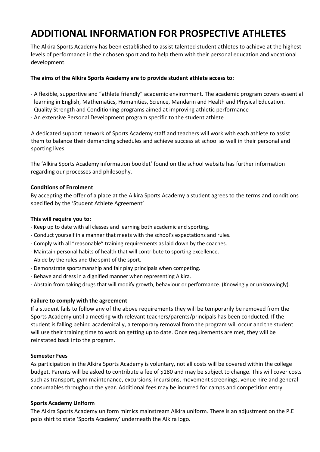## **ADDITIONAL INFORMATION FOR PROSPECTIVE ATHLETES**

The Alkira Sports Academy has been established to assist talented student athletes to achieve at the highest levels of performance in their chosen sport and to help them with their personal education and vocational development.

#### **The aims of the Alkira Sports Academy are to provide student athlete access to:**

- A flexible, supportive and "athlete friendly" academic environment. The academic program covers essential learning in English, Mathematics, Humanities, Science, Mandarin and Health and Physical Education.
- Quality Strength and Conditioning programs aimed at improving athletic performance
- An extensive Personal Development program specific to the student athlete

A dedicated support network of Sports Academy staff and teachers will work with each athlete to assist them to balance their demanding schedules and achieve success at school as well in their personal and sporting lives.

The 'Alkira Sports Academy information booklet' found on the school website has further information regarding our processes and philosophy.

#### **Conditions of Enrolment**

By accepting the offer of a place at the Alkira Sports Academy a student agrees to the terms and conditions specified by the 'Student Athlete Agreement'

#### **This will require you to:**

- Keep up to date with all classes and learning both academic and sporting.
- Conduct yourself in a manner that meets with the school's expectations and rules.
- Comply with all "reasonable" training requirements as laid down by the coaches.
- Maintain personal habits of health that will contribute to sporting excellence.
- Abide by the rules and the spirit of the sport.
- Demonstrate sportsmanship and fair play principals when competing.
- Behave and dress in a dignified manner when representing Alkira.
- Abstain from taking drugs that will modify growth, behaviour or performance. (Knowingly or unknowingly).

#### **Failure to comply with the agreement**

If a student fails to follow any of the above requirements they will be temporarily be removed from the Sports Academy until a meeting with relevant teachers/parents/principals has been conducted. If the student is falling behind academically, a temporary removal from the program will occur and the student will use their training time to work on getting up to date. Once requirements are met, they will be reinstated back into the program.

#### **Semester Fees**

As participation in the Alkira Sports Academy is voluntary, not all costs will be covered within the college budget. Parents will be asked to contribute a fee of \$180 and may be subject to change. This will cover costs such as transport, gym maintenance, excursions, incursions, movement screenings, venue hire and general consumables throughout the year. Additional fees may be incurred for camps and competition entry.

#### **Sports Academy Uniform**

The Alkira Sports Academy uniform mimics mainstream Alkira uniform. There is an adjustment on the P.E polo shirt to state 'Sports Academy' underneath the Alkira logo.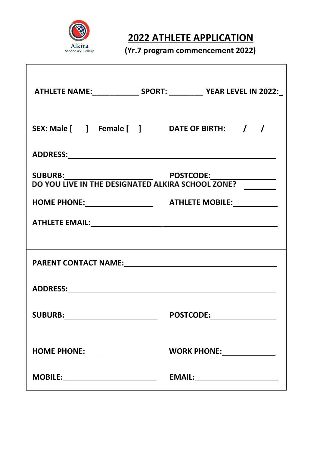

## **2022 ATHLETE APPLICATION**

**(Yr.7 program commencement 2022)** 

|                                             | ATHLETE NAME:________________ SPORT: ____________ YEAR LEVEL IN 2022:_           |
|---------------------------------------------|----------------------------------------------------------------------------------|
| SEX: Male [ ] Female [ ] DATE OF BIRTH: / / |                                                                                  |
|                                             |                                                                                  |
|                                             | SUBURB: POSTCODE: POSTCODE:<br>DO YOU LIVE IN THE DESIGNATED ALKIRA SCHOOL ZONE? |
|                                             |                                                                                  |
|                                             |                                                                                  |
|                                             |                                                                                  |
|                                             |                                                                                  |
|                                             |                                                                                  |
| <b>SUBURB:</b>                              | <b>POSTCODE:</b>                                                                 |
| HOME PHONE: __________________              |                                                                                  |
| <b>MOBILE:________________________</b>      | EMAIL:________________________                                                   |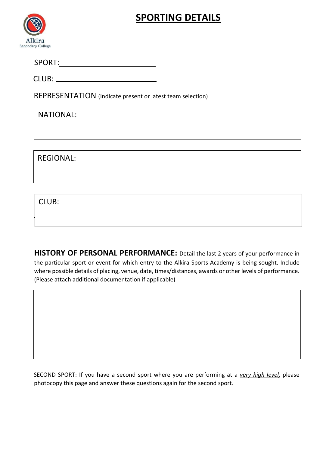## **SPORTING DETAILS**



SPORT:

CLUB:

REPRESENTATION (Indicate present or latest team selection)

NATIONAL:

REGIONAL:

CLUB:

**HISTORY OF PERSONAL PERFORMANCE:** Detail the last 2 years of your performance in the particular sport or event for which entry to the Alkira Sports Academy is being sought. Include where possible details of placing, venue, date, times/distances, awards or other levels of performance. (Please attach additional documentation if applicable)

SECOND SPORT: If you have a second sport where you are performing at a *very high level,* please photocopy this page and answer these questions again for the second sport.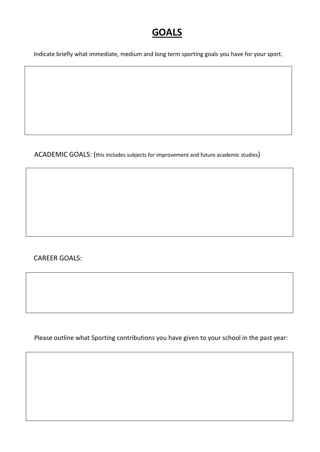### **GOALS**

Indicate briefly what immediate, medium and long term sporting goals you have for your sport.

ACADEMIC GOALS: (this includes subjects for improvement and future academic studies)

CAREER GOALS:

Please outline what Sporting contributions you have given to your school in the past year: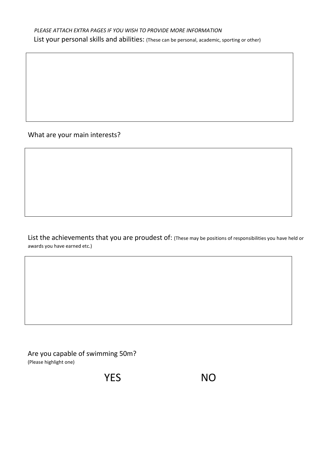What are your main interests?

List the achievements that you are proudest of: (These may be positions of responsibilities you have held or awards you have earned etc.)

Are you capable of swimming 50m? (Please highlight one)

YES NO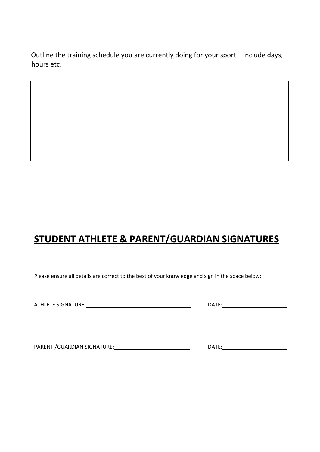Outline the training schedule you are currently doing for your sport – include days, hours etc.

## **STUDENT ATHLETE & PARENT/GUARDIAN SIGNATURES**

Please ensure all details are correct to the best of your knowledge and sign in the space below:

ATHLETE SIGNATURE: DATE:

PARENT /GUARDIAN SIGNATURE: DATE: DATE: DATE: DATE: DATE: DATE: DATE: DATE: DATE: DATE: DATE: DATE: DATE: DATE: DATE: DATE: DATE: DATE: DATE: DATE: DATE: DATE: DATE: DATE: DATE: DATE: DATE: DATE: DATE: DATE: DATE: DATE: DA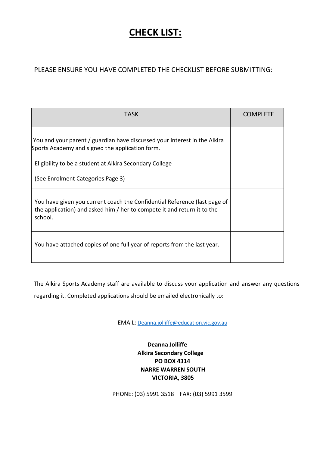## **CHECK LIST:**

#### PLEASE ENSURE YOU HAVE COMPLETED THE CHECKLIST BEFORE SUBMITTING:

| <b>TASK</b>                                                                                                                                                     | <b>COMPLETE</b> |
|-----------------------------------------------------------------------------------------------------------------------------------------------------------------|-----------------|
| You and your parent / guardian have discussed your interest in the Alkira<br>Sports Academy and signed the application form.                                    |                 |
| Eligibility to be a student at Alkira Secondary College                                                                                                         |                 |
| (See Enrolment Categories Page 3)                                                                                                                               |                 |
| You have given you current coach the Confidential Reference (last page of<br>the application) and asked him / her to compete it and return it to the<br>school. |                 |
| You have attached copies of one full year of reports from the last year.                                                                                        |                 |

The Alkira Sports Academy staff are available to discuss your application and answer any questions

regarding it. Completed applications should be emailed electronically to:

EMAIL: [Deanna.jolliffe@education.vic.gov.au](mailto:Deanna.jolliffe@education.vic.gov.au)

**Deanna Jolliffe Alkira Secondary College PO BOX 4314 NARRE WARREN SOUTH VICTORIA, 3805** 

PHONE: (03) 5991 3518 FAX: (03) 5991 3599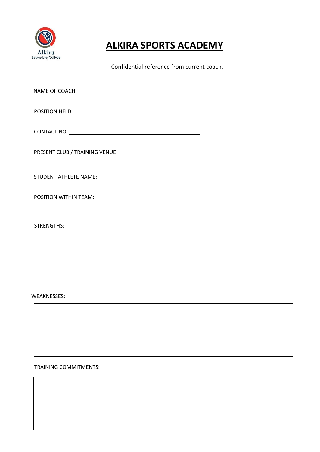

## **ALKIRA SPORTS ACADEMY**

Confidential reference from current coach.

| CONTACT NO: UNIVERSITY OF A SERVICE OF A SERVICE OF A SERVICE OF A SERVICE OF A SERVICE OF A SERVICE OF A SERVICE OF A SERVICE OF A SERVICE OF A SERVICE OF A SERVICE OF A SERVICE OF A SERVICE OF A SERVICE OF A SERVICE OF A |  |
|--------------------------------------------------------------------------------------------------------------------------------------------------------------------------------------------------------------------------------|--|
|                                                                                                                                                                                                                                |  |
|                                                                                                                                                                                                                                |  |
|                                                                                                                                                                                                                                |  |
| <b>STRENGTHS:</b>                                                                                                                                                                                                              |  |
|                                                                                                                                                                                                                                |  |
|                                                                                                                                                                                                                                |  |

WEAKNESSES:

TRAINING COMMITMENTS: